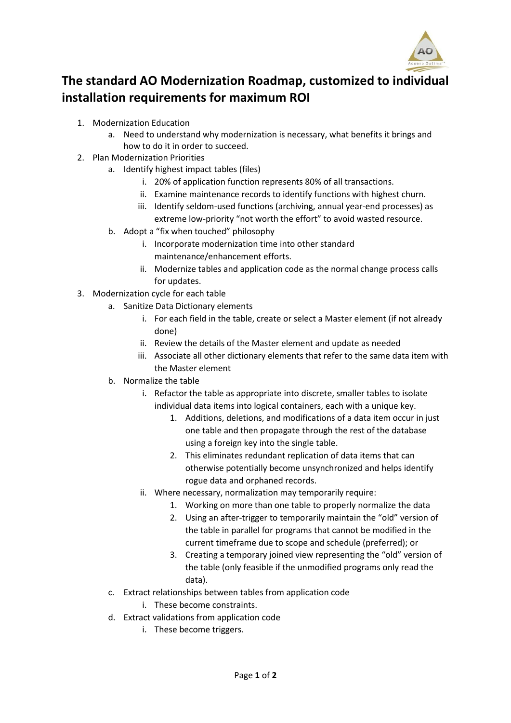

## **The standard AO Modernization Roadmap, customized to individual installation requirements for maximum ROI**

- 1. Modernization Education
	- a. Need to understand why modernization is necessary, what benefits it brings and how to do it in order to succeed.
- 2. Plan Modernization Priorities
	- a. Identify highest impact tables (files)
		- i. 20% of application function represents 80% of all transactions.
		- ii. Examine maintenance records to identify functions with highest churn.
		- iii. Identify seldom-used functions (archiving, annual year-end processes) as extreme low-priority "not worth the effort" to avoid wasted resource.
	- b. Adopt a "fix when touched" philosophy
		- i. Incorporate modernization time into other standard maintenance/enhancement efforts.
		- ii. Modernize tables and application code as the normal change process calls for updates.
- 3. Modernization cycle for each table
	- a. Sanitize Data Dictionary elements
		- i. For each field in the table, create or select a Master element (if not already done)
		- ii. Review the details of the Master element and update as needed
		- iii. Associate all other dictionary elements that refer to the same data item with the Master element
	- b. Normalize the table
		- i. Refactor the table as appropriate into discrete, smaller tables to isolate individual data items into logical containers, each with a unique key.
			- 1. Additions, deletions, and modifications of a data item occur in just one table and then propagate through the rest of the database using a foreign key into the single table.
			- 2. This eliminates redundant replication of data items that can otherwise potentially become unsynchronized and helps identify rogue data and orphaned records.
		- ii. Where necessary, normalization may temporarily require:
			- 1. Working on more than one table to properly normalize the data
			- 2. Using an after-trigger to temporarily maintain the "old" version of the table in parallel for programs that cannot be modified in the current timeframe due to scope and schedule (preferred); or
			- 3. Creating a temporary joined view representing the "old" version of the table (only feasible if the unmodified programs only read the data).
	- c. Extract relationships between tables from application code
		- i. These become constraints.
	- d. Extract validations from application code
		- i. These become triggers.